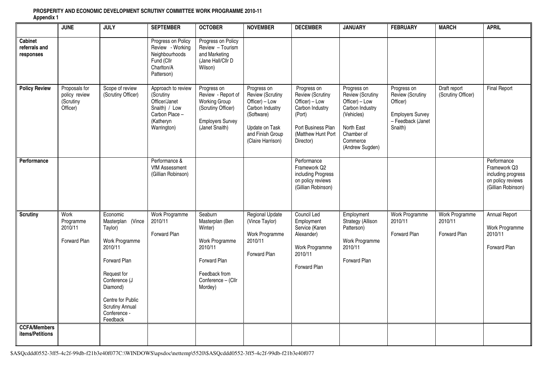|                                        | <b>JUNE</b>                                             | <b>JULY</b>                                                                                                                                                                                                  | <b>SEPTEMBER</b>                                                                                               | <b>OCTOBER</b>                                                                                                                       | <b>NOVEMBER</b>                                                                                                                               | <b>DECEMBER</b>                                                                                                                         | <b>JANUARY</b>                                                                                                                                | <b>FEBRUARY</b>                                                                                        | <b>MARCH</b>                              | <b>APRIL</b>                                                                                 |
|----------------------------------------|---------------------------------------------------------|--------------------------------------------------------------------------------------------------------------------------------------------------------------------------------------------------------------|----------------------------------------------------------------------------------------------------------------|--------------------------------------------------------------------------------------------------------------------------------------|-----------------------------------------------------------------------------------------------------------------------------------------------|-----------------------------------------------------------------------------------------------------------------------------------------|-----------------------------------------------------------------------------------------------------------------------------------------------|--------------------------------------------------------------------------------------------------------|-------------------------------------------|----------------------------------------------------------------------------------------------|
| Cabinet<br>referrals and<br>responses  |                                                         |                                                                                                                                                                                                              | Progress on Policy<br>Review - Working<br>Neighbourhoods<br>Fund (Cllr<br>Charlton/A<br>Patterson)             | Progress on Policy<br>Review - Tourism<br>and Marketing<br>(Jane Hall/Cllr D<br>Wilson)                                              |                                                                                                                                               |                                                                                                                                         |                                                                                                                                               |                                                                                                        |                                           |                                                                                              |
| <b>Policy Review</b>                   | Proposals for<br>policy review<br>(Scrutiny<br>Officer) | Scope of review<br>(Scrutiny Officer)                                                                                                                                                                        | Approach to review<br>(Scrutiny<br>Officer/Janet<br>Snaith) / Low<br>Carbon Place-<br>(Katheryn<br>Warrington) | Progress on<br>Review - Report of<br><b>Working Group</b><br>(Scrutiny Officer)<br><b>Employers Survey</b><br>(Janet Snaith)         | Progress on<br>Review (Scrutiny<br>Officer) - Low<br>Carbon Industry<br>(Software)<br>Update on Task<br>and Finish Group<br>(Claire Harrison) | Progress on<br>Review (Scrutiny<br>Officer) - Low<br>Carbon Industry<br>(Port)<br>Port Business Plan<br>(Matthew Hunt Port<br>Director) | Progress on<br>Review (Scrutiny<br>Officer) - Low<br>Carbon Industry<br>(Vehicles)<br>North East<br>Chamber of<br>Commerce<br>(Andrew Sugden) | Progress on<br>Review (Scrutiny<br>Officer)<br><b>Employers Survey</b><br>- Feedback (Janet<br>Snaith) | Draft report<br>(Scrutiny Officer)        | <b>Final Report</b>                                                                          |
| Performance                            |                                                         |                                                                                                                                                                                                              | Performance &<br><b>VfM Assessment</b><br>(Gillian Robinson)                                                   |                                                                                                                                      |                                                                                                                                               | Performance<br>Framework Q2<br>including Progress<br>on policy reviews<br>(Gillian Robinson)                                            |                                                                                                                                               |                                                                                                        |                                           | Performance<br>Framework Q3<br>including progress<br>on policy reviews<br>(Gillian Robinson) |
| <b>Scrutiny</b>                        | Work<br>Programme<br>2010/11<br><b>Forward Plan</b>     | Economic<br>Masterplan (Vince<br>Taylor)<br>Work Programme<br>2010/11<br>Forward Plan<br>Request for<br>Conference (J<br>Diamond)<br>Centre for Public<br><b>Scrutiny Annual</b><br>Conference -<br>Feedback | Work Programme<br>2010/11<br><b>Forward Plan</b>                                                               | Seaburn<br>Masterplan (Ben<br>Winter)<br>Work Programme<br>2010/11<br>Forward Plan<br>Feedback from<br>Conference - (Cllr<br>Mordey) | <b>Regional Update</b><br>(Vince Taylor)<br>Work Programme<br>2010/11<br>Forward Plan                                                         | Council Led<br>Employment<br>Service (Karen<br>Alexander)<br>Work Programme<br>2010/11<br>Forward Plan                                  | Employment<br>Strategy (Allison<br>Patterson)<br>Work Programme<br>2010/11<br>Forward Plan                                                    | Work Programme<br>2010/11<br>Forward Plan                                                              | Work Programme<br>2010/11<br>Forward Plan | Annual Report<br>Work Programme<br>2010/11<br>Forward Plan                                   |
| <b>CCFA/Members</b><br>items/Petitions |                                                         |                                                                                                                                                                                                              |                                                                                                                |                                                                                                                                      |                                                                                                                                               |                                                                                                                                         |                                                                                                                                               |                                                                                                        |                                           |                                                                                              |

## **PROSPERITY AND ECONOMIC DEVELOPMENT SCRUTINY COMMITTEE WORK PROGRAMME 2010-11 Appendix 1**

\$ASQcddd0552-3ff5-4c2f-99db-f21b3e40f077C:\WINDOWS\apsdoc\nettemp\5520\\$ASQcddd0552-3ff5-4c2f-99db-f21b3e40f077